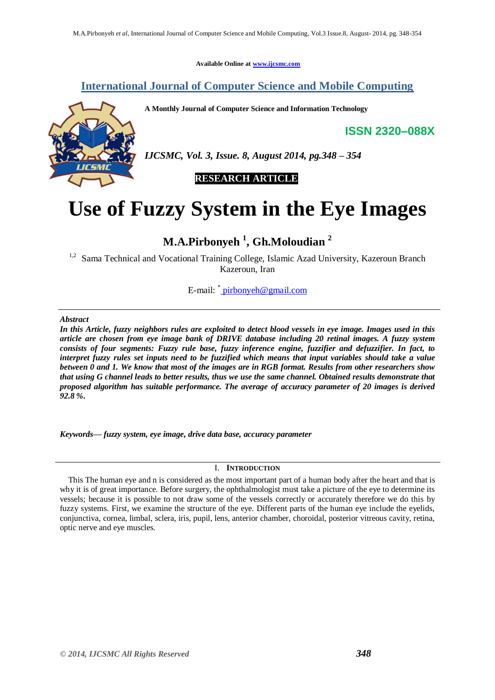**Available Online at [www.ijcsmc.com](http://www.ijcsmc.com/)**

## **International Journal of Computer Science and Mobile Computing**

**A Monthly Journal of Computer Science and Information Technology**

**ISSN 2320–088X**



*IJCSMC, Vol. 3, Issue. 8, August 2014, pg.348 – 354*

 **RESEARCH ARTICLE**

# **Use of Fuzzy System in the Eye Images**

# **M.A.Pirbonyeh <sup>1</sup> , Gh.Moloudian <sup>2</sup>**

<sup>1,2</sup> Sama Technical and Vocational Training College, Islamic Azad University, Kazeroun Branch Kazeroun, Iran

E-mail[:](mailto:%20pirbonyeh@gmail.com) <u>\* [pirbonyeh@gmail.com](mailto:%20pirbonyeh@gmail.com)</u>

#### *Abstract*

*In this Article, fuzzy neighbors rules are exploited to detect blood vessels in eye image. Images used in this article are chosen from eye image bank of DRIVE database including 20 retinal images. A fuzzy system consists of four segments: Fuzzy rule base, fuzzy inference engine, fuzzifier and defuzzifier. In fact, to interpret fuzzy rules set inputs need to be fuzzified which means that input variables should take a value between 0 and 1. We know that most of the images are in RGB format. Results from other researchers show that using G channel leads to better results, thus we use the same channel. Obtained results demonstrate that proposed algorithm has suitable performance. The average of accuracy parameter of 20 images is derived 92.8 %.*

*Keywords— fuzzy system, eye image, drive data base, accuracy parameter*

## I. **INTRODUCTION**

 This The human eye and n is considered as the most important part of a human body after the heart and that is why it is of great importance. Before surgery, the ophthalmologist must take a picture of the eye to determine its vessels; because it is possible to not draw some of the vessels correctly or accurately therefore we do this by fuzzy systems. First, we examine the structure of the eye. Different parts of the human eye include the eyelids, conjunctiva, cornea, limbal, sclera, iris, pupil, lens, anterior chamber, choroidal, posterior vitreous cavity, retina, optic nerve and eye muscles.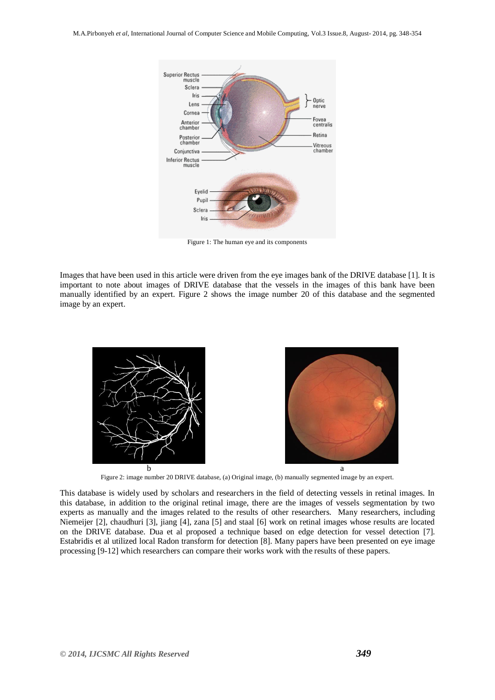

Figure 1: The human eye and its components

Images that have been used in this article were driven from the eye images bank of the DRIVE database [1]. It is important to note about images of DRIVE database that the vessels in the images of this bank have been manually identified by an expert. Figure 2 shows the image number 20 of this database and the segmented image by an expert.



Figure 2: image number 20 DRIVE database, (a) Original image, (b) manually segmented image by an expert.

This database is widely used by scholars and researchers in the field of detecting vessels in retinal images. In this database, in addition to the original retinal image, there are the images of vessels segmentation by two experts as manually and the images related to the results of other researchers. Many researchers, including Niemeijer [2], chaudhuri [3], jiang [4], zana [5] and staal [6] work on retinal images whose results are located on the DRIVE database. Dua et al proposed a technique based on edge detection for vessel detection [7]. Estabridis et al utilized local Radon transform for detection [8]. Many papers have been presented on eye image processing [9-12] which researchers can compare their works work with the results of these papers.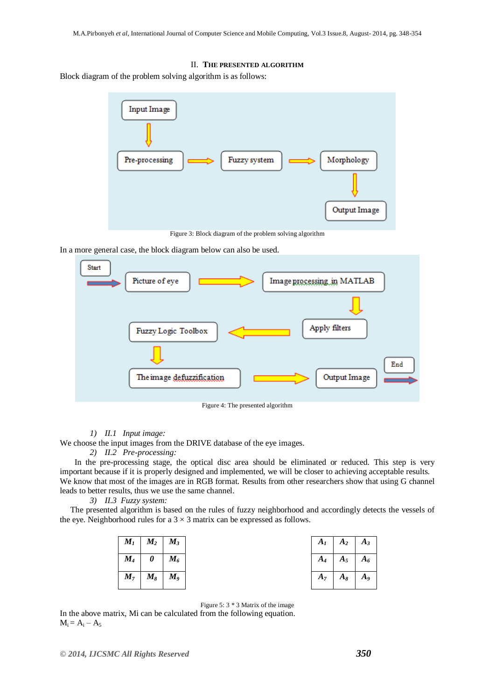#### II. **THE PRESENTED ALGORITHM**

Block diagram of the problem solving algorithm is as follows:



Figure 3: Block diagram of the problem solving algorithm

In a more general case, the block diagram below can also be used.



Figure 4: The presented algorithm

### *1) II.1 Input image:*

We choose the input images from the DRIVE database of the eye images.

*2) II.2 Pre-processing:*

 In the pre-processing stage, the optical disc area should be eliminated or reduced. This step is very important because if it is properly designed and implemented, we will be closer to achieving acceptable results. We know that most of the images are in RGB format. Results from other researchers show that using G channel leads to better results, thus we use the same channel.

#### *3) II.3 Fuzzy system:*

 The presented algorithm is based on the rules of fuzzy neighborhood and accordingly detects the vessels of the eye. Neighborhood rules for a  $3 \times 3$  matrix can be expressed as follows.

| $M_{I}$        | $M_2$   | $M_3$              |
|----------------|---------|--------------------|
| $M_{4}$        | 0       | $M_{6}$            |
| M <sub>7</sub> | $M_{8}$ | $\boldsymbol{M_9}$ |

| $A_I$ | A <sub>2</sub> | $A_3$   |
|-------|----------------|---------|
| $A_4$ | $A_5$          | $A_{6}$ |
| $A_7$ | $A_{8}$        | $A_{9}$ |

Figure 5: 3 \* 3 Matrix of the image

In the above matrix, Mi can be calculated from the following equation.  $M_i = A_i - A_5$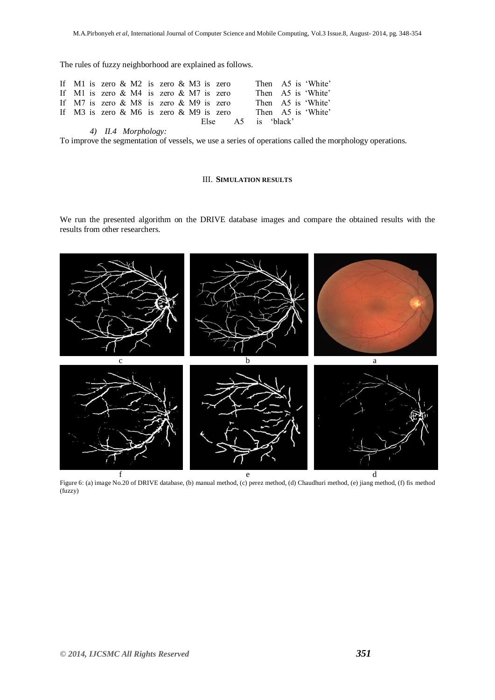The rules of fuzzy neighborhood are explained as follows.

|  | If M1 is zero $\&$ M2 is zero $\&$ M3 is zero |  |                    |  | Then A5 is 'White' |  |
|--|-----------------------------------------------|--|--------------------|--|--------------------|--|
|  | If M1 is zero $& M4$ is zero $& M7$ is zero   |  |                    |  | Then A5 is 'White' |  |
|  | If M7 is zero $& M8$ is zero $& M9$ is zero   |  |                    |  | Then A5 is 'White' |  |
|  | If M3 is zero $& M6$ is zero $& M9$ is zero   |  |                    |  | Then A5 is 'White' |  |
|  |                                               |  | Else A5 is 'black' |  |                    |  |

*4) II.4 Morphology:*

To improve the segmentation of vessels, we use a series of operations called the morphology operations.

#### III. **SIMULATION RESULTS**

We run the presented algorithm on the DRIVE database images and compare the obtained results with the results from other researchers.



Figure 6: (a) image No.20 of DRIVE database, (b) manual method, (c) perez method, (d) Chaudhuri method, (e) jiang method, (f) fis method (fuzzy)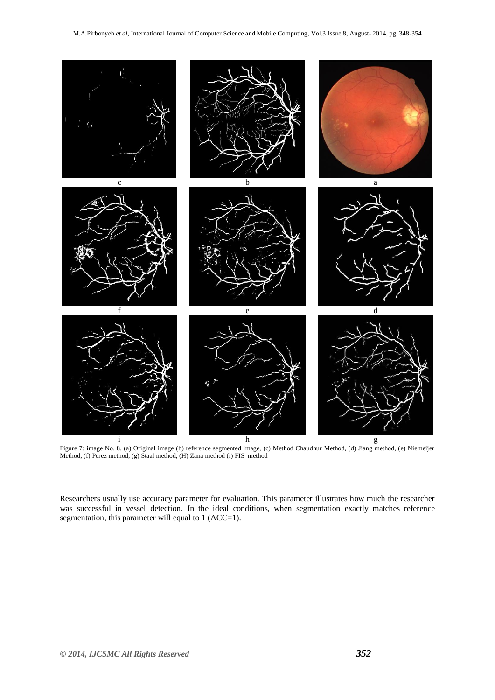

Figure 7: image No. 8, (a) Original image (b) reference segmented image, (c) Method Chaudhur Method, (d) Jiang method, (e) Niemeijer Method, (f) Perez method, (g) Staal method, (H) Zana method (i) FIS method

Researchers usually use accuracy parameter for evaluation. This parameter illustrates how much the researcher was successful in vessel detection. In the ideal conditions, when segmentation exactly matches reference segmentation, this parameter will equal to 1 (ACC=1).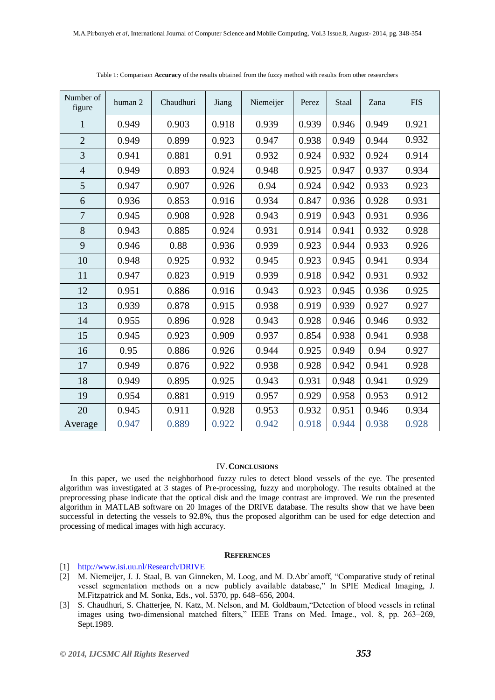| Number of<br>figure | human 2 | Chaudhuri | Jiang | Niemeijer | Perez | Staal | Zana  | <b>FIS</b> |
|---------------------|---------|-----------|-------|-----------|-------|-------|-------|------------|
| $\mathbf{1}$        | 0.949   | 0.903     | 0.918 | 0.939     | 0.939 | 0.946 | 0.949 | 0.921      |
| $\overline{2}$      | 0.949   | 0.899     | 0.923 | 0.947     | 0.938 | 0.949 | 0.944 | 0.932      |
| 3                   | 0.941   | 0.881     | 0.91  | 0.932     | 0.924 | 0.932 | 0.924 | 0.914      |
| $\overline{4}$      | 0.949   | 0.893     | 0.924 | 0.948     | 0.925 | 0.947 | 0.937 | 0.934      |
| 5                   | 0.947   | 0.907     | 0.926 | 0.94      | 0.924 | 0.942 | 0.933 | 0.923      |
| 6                   | 0.936   | 0.853     | 0.916 | 0.934     | 0.847 | 0.936 | 0.928 | 0.931      |
| $\overline{7}$      | 0.945   | 0.908     | 0.928 | 0.943     | 0.919 | 0.943 | 0.931 | 0.936      |
| 8                   | 0.943   | 0.885     | 0.924 | 0.931     | 0.914 | 0.941 | 0.932 | 0.928      |
| 9                   | 0.946   | 0.88      | 0.936 | 0.939     | 0.923 | 0.944 | 0.933 | 0.926      |
| 10                  | 0.948   | 0.925     | 0.932 | 0.945     | 0.923 | 0.945 | 0.941 | 0.934      |
| 11                  | 0.947   | 0.823     | 0.919 | 0.939     | 0.918 | 0.942 | 0.931 | 0.932      |
| 12                  | 0.951   | 0.886     | 0.916 | 0.943     | 0.923 | 0.945 | 0.936 | 0.925      |
| 13                  | 0.939   | 0.878     | 0.915 | 0.938     | 0.919 | 0.939 | 0.927 | 0.927      |
| 14                  | 0.955   | 0.896     | 0.928 | 0.943     | 0.928 | 0.946 | 0.946 | 0.932      |
| 15                  | 0.945   | 0.923     | 0.909 | 0.937     | 0.854 | 0.938 | 0.941 | 0.938      |
| 16                  | 0.95    | 0.886     | 0.926 | 0.944     | 0.925 | 0.949 | 0.94  | 0.927      |
| 17                  | 0.949   | 0.876     | 0.922 | 0.938     | 0.928 | 0.942 | 0.941 | 0.928      |
| 18                  | 0.949   | 0.895     | 0.925 | 0.943     | 0.931 | 0.948 | 0.941 | 0.929      |
| 19                  | 0.954   | 0.881     | 0.919 | 0.957     | 0.929 | 0.958 | 0.953 | 0.912      |
| 20                  | 0.945   | 0.911     | 0.928 | 0.953     | 0.932 | 0.951 | 0.946 | 0.934      |
| Average             | 0.947   | 0.889     | 0.922 | 0.942     | 0.918 | 0.944 | 0.938 | 0.928      |

Table 1: Comparison **Accuracy** of the results obtained from the fuzzy method with results from other researchers

#### IV.**CONCLUSIONS**

 In this paper, we used the neighborhood fuzzy rules to detect blood vessels of the eye. The presented algorithm was investigated at 3 stages of Pre-processing, fuzzy and morphology. The results obtained at the preprocessing phase indicate that the optical disk and the image contrast are improved. We run the presented algorithm in MATLAB software on 20 Images of the DRIVE database. The results show that we have been successful in detecting the vessels to 92.8%, thus the proposed algorithm can be used for edge detection and processing of medical images with high accuracy.

#### **REFERENCES**

#### [1] <http://www.isi.uu.nl/Research/DRIVE>

- [2] M. Niemeijer, J. J. Staal, B. van Ginneken, M. Loog, and M. D.Abr`amoff, "Comparative study of retinal vessel segmentation methods on a new publicly available database," In SPIE Medical Imaging, J. M.Fitzpatrick and M. Sonka, Eds., vol. 5370, pp. 648–656, 2004.
- [3] S. Chaudhuri, S. Chatterjee, N. Katz, M. Nelson, and M. Goldbaum,"Detection of blood vessels in retinal images using two-dimensional matched filters," IEEE Trans on Med. Image., vol. 8, pp. 263–269, Sept.1989.